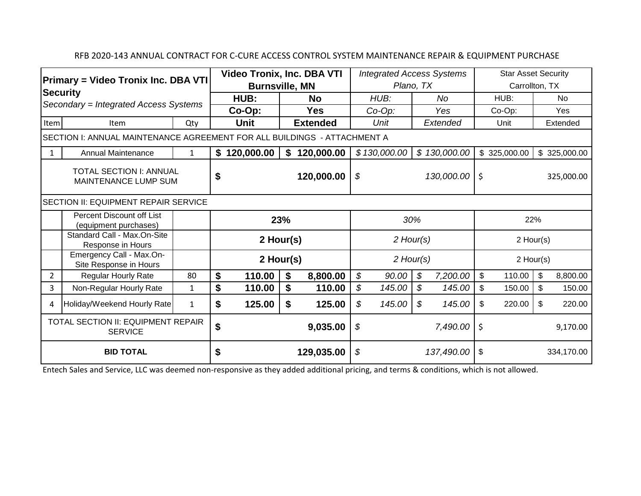## RFB 2020-143 ANNUAL CONTRACT FOR C-CURE ACCESS CONTROL SYSTEM MAINTENANCE REPAIR & EQUIPMENT PURCHASE

|                                                                                                        |                                                    |              |                       | <b>Video Tronix, Inc. DBA VTI</b> |                  |                  |           | <b>Integrated Access Systems</b> |           |                  |                | <b>Star Asset Security</b> |           |              |  |
|--------------------------------------------------------------------------------------------------------|----------------------------------------------------|--------------|-----------------------|-----------------------------------|------------------|------------------|-----------|----------------------------------|-----------|------------------|----------------|----------------------------|-----------|--------------|--|
| <b>Primary = Video Tronix Inc. DBA VTI</b><br><b>Security</b><br>Secondary = Integrated Access Systems |                                                    |              | <b>Burnsville, MN</b> |                                   |                  |                  | Plano, TX |                                  |           |                  | Carrollton, TX |                            |           |              |  |
|                                                                                                        |                                                    |              | HUB:<br>Co-Op:        |                                   | <b>No</b><br>Yes |                  | HUB:      |                                  | <b>No</b> |                  | HUB:           |                            | <b>No</b> |              |  |
|                                                                                                        |                                                    |              |                       |                                   |                  |                  | $Co-Op$ : |                                  | Yes       |                  | Co-Op:         |                            | Yes       |              |  |
| Item<br>Qty<br>Item                                                                                    |                                                    | <b>Unit</b>  |                       | <b>Extended</b>                   |                  | Unit             |           | Extended                         |           | Unit             |                | Extended                   |           |              |  |
| SECTION I: ANNUAL MAINTENANCE AGREEMENT FOR ALL BUILDINGS - ATTACHMENT A                               |                                                    |              |                       |                                   |                  |                  |           |                                  |           |                  |                |                            |           |              |  |
| 1                                                                                                      | <b>Annual Maintenance</b>                          | $\mathbf{1}$ |                       | \$120,000.00                      | \$               | 120,000.00       |           | \$130,000.00                     |           | \$130,000.00     |                | \$325,000.00               |           | \$325,000.00 |  |
| <b>TOTAL SECTION I: ANNUAL</b><br><b>MAINTENANCE LUMP SUM</b>                                          |                                                    |              | \$                    |                                   |                  | 120,000.00       | \$        |                                  |           | 130,000.00       | \$             |                            |           | 325,000.00   |  |
| SECTION II: EQUIPMENT REPAIR SERVICE                                                                   |                                                    |              |                       |                                   |                  |                  |           |                                  |           |                  |                |                            |           |              |  |
|                                                                                                        | Percent Discount off List<br>(equipment purchases) |              | 23%                   |                                   |                  |                  | 30%       |                                  |           |                  | 22%            |                            |           |              |  |
|                                                                                                        | Standard Call - Max.On-Site<br>Response in Hours   |              | 2 Hour(s)             |                                   |                  | $2$ Hour(s)      |           |                                  |           | $2$ Hour(s)      |                |                            |           |              |  |
|                                                                                                        | Emergency Call - Max.On-<br>Site Response in Hours |              | 2 Hour(s)             |                                   |                  | $2$ Hour(s)      |           |                                  |           | $2$ Hour(s)      |                |                            |           |              |  |
| 2                                                                                                      | <b>Regular Hourly Rate</b>                         | 80           | \$                    | 110.00                            | \$               | 8,800.00         | \$        | 90.00                            | \$        | 7,200.00         | \$             | 110.00                     | \$        | 8,800.00     |  |
| 3                                                                                                      | Non-Regular Hourly Rate                            | $\mathbf{1}$ | \$                    | 110.00                            | \$               | 110.00           | \$        | 145.00                           | \$        | 145.00           | \$             | 150.00                     | \$        | 150.00       |  |
| 4                                                                                                      | Holiday/Weekend Hourly Rate                        | $\mathbf{1}$ | \$                    | 125.00                            | \$               | 125.00           | \$        | 145.00                           | \$        | 145.00           | \$             | 220.00                     | \$        | 220.00       |  |
| TOTAL SECTION II: EQUIPMENT REPAIR<br><b>SERVICE</b>                                                   |                                                    |              |                       | \$<br>9,035.00                    |                  |                  |           | \$<br>7,490.00                   |           |                  |                | \$<br>9,170.00             |           |              |  |
| <b>BID TOTAL</b>                                                                                       |                                                    |              | \$<br>129,035.00      |                                   |                  | \$<br>137,490.00 |           |                                  |           | \$<br>334,170.00 |                |                            |           |              |  |

Entech Sales and Service, LLC was deemed non-responsive as they added additional pricing, and terms & conditions, which is not allowed.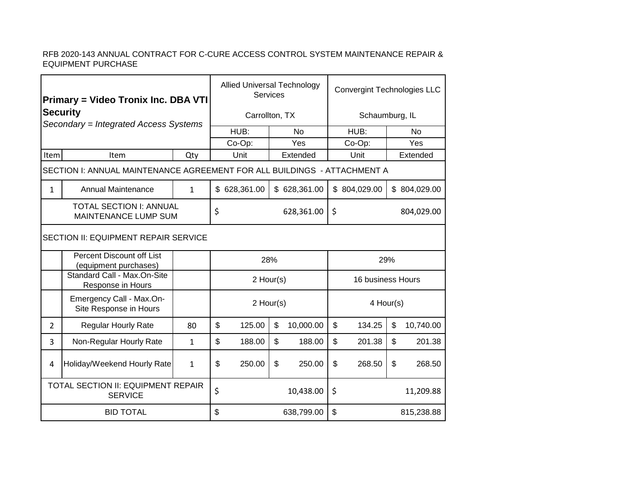## RFB 2020-143 ANNUAL CONTRACT FOR C-CURE ACCESS CONTROL SYSTEM MAINTENANCE REPAIR & EQUIPMENT PURCHASE

| <b>Primary = Video Tronix Inc. DBA VTI</b><br><b>Security</b><br>Secondary = Integrated Access Systems |                                                    |              | <b>Allied Universal Technology</b><br>Services |                  |           |                   | <b>Convergint Technologies LLC</b> |                  |              |           |  |  |
|--------------------------------------------------------------------------------------------------------|----------------------------------------------------|--------------|------------------------------------------------|------------------|-----------|-------------------|------------------------------------|------------------|--------------|-----------|--|--|
|                                                                                                        |                                                    |              | Carrollton, TX                                 |                  |           |                   | Schaumburg, IL                     |                  |              |           |  |  |
|                                                                                                        |                                                    |              |                                                | HUB:             | <b>No</b> |                   |                                    | HUB:             | <b>No</b>    |           |  |  |
|                                                                                                        |                                                    |              | Yes<br>Co-Op:                                  |                  |           |                   | Co-Op:                             |                  |              | Yes       |  |  |
| Item<br>Item<br>Qty                                                                                    |                                                    |              |                                                | Unit             |           | Extended          | Unit                               |                  |              | Extended  |  |  |
| SECTION I: ANNUAL MAINTENANCE AGREEMENT FOR ALL BUILDINGS - ATTACHMENT A                               |                                                    |              |                                                |                  |           |                   |                                    |                  |              |           |  |  |
| $\mathbf{1}$                                                                                           | <b>Annual Maintenance</b>                          | $\mathbf{1}$ |                                                | \$628,361.00     |           | \$628,361.00      |                                    | \$804,029.00     | \$804,029.00 |           |  |  |
| <b>TOTAL SECTION I: ANNUAL</b><br>MAINTENANCE LUMP SUM                                                 |                                                    |              |                                                | \$<br>628,361.00 |           |                   |                                    | \$<br>804,029.00 |              |           |  |  |
| <b>SECTION II: EQUIPMENT REPAIR SERVICE</b>                                                            |                                                    |              |                                                |                  |           |                   |                                    |                  |              |           |  |  |
|                                                                                                        | Percent Discount off List<br>(equipment purchases) |              |                                                | 28%              |           |                   |                                    | 29%              |              |           |  |  |
|                                                                                                        | Standard Call - Max.On-Site<br>Response in Hours   |              | 2 Hour(s)                                      |                  |           | 16 business Hours |                                    |                  |              |           |  |  |
|                                                                                                        | Emergency Call - Max.On-<br>Site Response in Hours |              |                                                | 2 Hour(s)        |           |                   | 4 Hour(s)                          |                  |              |           |  |  |
| $\overline{2}$                                                                                         | <b>Regular Hourly Rate</b>                         | 80           | \$                                             | 125.00           | \$        | 10,000.00         | $\mathfrak{S}$                     | 134.25           | \$           | 10,740.00 |  |  |
| 3                                                                                                      | Non-Regular Hourly Rate                            | $\mathbf{1}$ | \$                                             | 188.00           | \$        | 188.00            | $\mathfrak{S}$                     | 201.38           | \$           | 201.38    |  |  |
| $\overline{4}$                                                                                         | Holiday/Weekend Hourly Rate                        | $\mathbf{1}$ | \$                                             | 250.00           | \$        | 250.00            | \$                                 | 268.50           | \$           | 268.50    |  |  |
| TOTAL SECTION II: EQUIPMENT REPAIR<br><b>SERVICE</b>                                                   |                                                    |              |                                                | \$<br>10,438.00  |           |                   |                                    | \$<br>11,209.88  |              |           |  |  |
| <b>BID TOTAL</b>                                                                                       |                                                    |              |                                                | \$<br>638,799.00 |           |                   |                                    | \$<br>815,238.88 |              |           |  |  |